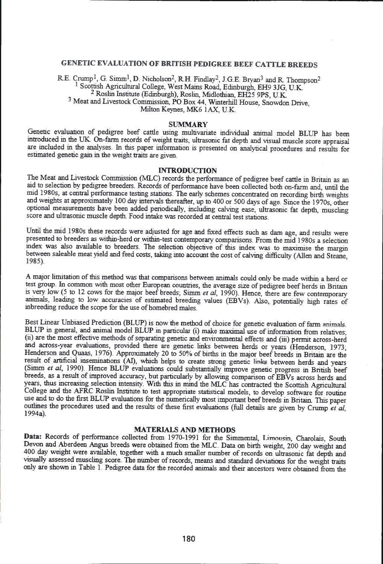# **GENETIC EVALUATION OF BRITISH PEDIGREE BEEF CATTLE BREEDS**

**RE. Crump1, G. Simm1, D. Nicholson2, R.H. Findlay2, J.G.E. Bryan**3 **and R Thompson**2 1 **Scottish Agricultural College, West Mains Road, Edinburgh, EH9 3JG, U.K.** 2 **Roslin Institute (Edinburgh), Roslin, Midlothian, EH25 9PS, U.K** 3 **Meat and Livestock Commission, PO Box 44, Winterhill House, Snowdon Drive, Milton Keynes, MK**6 **1 AX, U.K.**

#### **SUMMARY**

**Genetic evaluation of pedigree beef cattle using multivariate individual animal model BLUP has been introduced in the UK. On-farm records of weight traits, ultrasonic fat depth and visual muscle score appraisal are included in the analyses. In this paper information is presented on analytical procedures and results for estimated genetic gain in the weight traits are given.**

### **INTRODUCTION**

**The Meat and Livestock Commission (MLC) records the performance of pedigree beef cattle in Britain as an aid to selection by pedigree breeders. Records of performance have been collected both on-farm and, until the mid 1980s, at central performance testing stations. The early schemes concentrated on recording birth weights and weights at approximately 100 day intervals thereafter, up to 400 or 500 days of age. Since the 1970s, other optional measurements have been added periodically, including calving ease, ultrasonic fat depth, muscling score and ultrasonic muscle depth. Food intake was recorded at central test stations.**

**Until the mid 1980s these records were adjusted for age and fixed effects such as dam age, and results were presented to breeders as within-herd or within-test contemporary comparisons. From the mid 1980s a selection index was also available to breeders. The selection objective of this index was to maximise the margin** between saleable meat yield and feed costs, taking into account the cost of calving difficulty (Allen and Steane, 1985).

**A major limitation of this method was that comparisons between animals could only be made within a herd or test group. In common with most other European countries, the average size of pedigree beef herds in Britain is very low (5 to 12 cows for the major beef breeds; Simm** *et al,* **1990). Hence, there are few contemporary animals, leading to low accuracies of estimated breeding values (EBVs). Also, potentially high rates of inbreeding reduce the scope for the use of homebred males.**

**Best Linear Unbiased Prediction (BLUP) is now the method of choice for genetic evaluation of farm animak BLUP in general, and animal model BLUP m particular (i) make maximal use of information from relatives; (ii) are the most effective methods of separating genetic and environmental effects and (iii) permit across-herd and across-year evaluations, provided there are genetic links between herds or years (Henderson, 1973; Henderson and Quaas, 1976). Approximately 20 to 50% of births in the major beef breeds in Britain are the** result of artificial inseminations (AI), which helps to create strong genetic links between herds and years (Simm *et al*, 1990). Hence BLUP evaluations could substantially improve genetic progress in British beef **breeds, as a result of improved accuracy, but particularly by allowing comparison of EBVs across herds and years, thus increasing selection intensity. With this in mind the MLC has contracted the Scottish Agricultural College and the AFRC Roslin Institute to test appropnate statistical models, to develop software for routine use and to do the first BLUP evaluations for the numerically most important beef breeds in Britain This paper** outlines the procedures used and the results of these first evaluations (full details are given by Crump *et al*, **1994a).**

## **MATERIALS AND METHODS**

Data: Records of performance collected from 1970-1991 for the Simmental, Limousin, Charolais, South **Devon and Aberdeen Angus breeds were obtained from the MLC. Data on birth weight, 200 day weight and 400 day weight were available, together with a much smaller number of records on ultrasonic fat depth and visually assessed muscling score. The number of records, means and standard deviations for die weight traits only are shown in Table 1. Pedigree data for the recorded animals and their ancestors were obtained from the**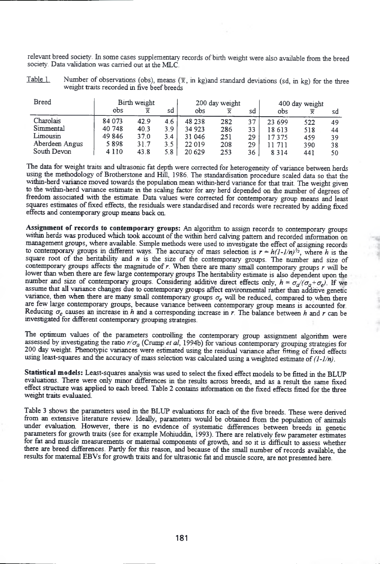**relevant breed society. In some cases supplementary records of birth weight were also available from the breed society. Data validation was earned out at the MLC.**

**Table 1.** Number of observations (obs), means  $(\bar{x}, \bar{m} \text{ kg})$  and standard deviations (sd, in kg) for the three **weight traits recorded in five beef breeds**

| <b>Breed</b>   |         | Birth weight            |     | 200 day weight |     |     | 400 day weight |     |    |  |
|----------------|---------|-------------------------|-----|----------------|-----|-----|----------------|-----|----|--|
|                | obs     | $\overline{\textbf{x}}$ | sd  | obs            | ≅   | sd  | obs            |     | sd |  |
| Charolais      | 84 073  | 42.9                    | 4.6 | 48 238         | 282 | 37  | 23 699         | 522 | 49 |  |
| Simmental      | 40 748  | 40.3                    | 3.9 | 34 923         | 286 | 33  | 18 6 13        | 518 | 44 |  |
| Limousin       | 49 846  | 37.0                    | 3.4 | 31 046         | 251 | 29. | 17375          | 459 | 39 |  |
| Aberdeen Angus | 5898    | 31.7                    | 3.5 | 22 019         | 208 | 29. | 11 711         | 390 | 38 |  |
| South Devon    | 4 1 1 0 | 43.8                    | 5.8 | 20 6 29        | 253 | 36  | 8314           | 441 | 50 |  |

**The data for weight traits and ultrasonic fat depth were conected for heterogeneity of variance between herds using the methodology of Brotherstone and Hill, 1986. The standardisation procedure scaled data so that the within-herd variance moved towards the population mean within-herd variance for that trait. The weight given to the within-herd variance estimate in the scaling factor for any herd depended on the number of degrees of freedom associated with the estimate. Data values were corrected for contemporary group means and least squares estimates of fixed effects, the residuals were standardised and records were recreated by adding fixed effects and contemporary group means back on.**

**Assignment of records to contemporary groups: An algorithm to assign records to contemporary groups within herds was produced which took account of the within herd calving pattern and recorded information on management groups, where available. Simple methods were used to investigate the effect of assigning records** to contemporary groups in different ways. The accuracy of mass selection is  $r = h(l-l/n)^{\frac{1}{2}}$ , where *h* is the **square root of the heritability and** *n* **is the size of the contemporary groups. The number and size of contemporary groups affects the magnitude of** *r.* **When there are many small contemporary groups** *r* **will be lower than when there are few large contemporary groups The heritability estimate is also dependent upon the** number and size of contemporary groups. Considering additive direct effects only,  $h = \sigma_d/(\sigma_d + \sigma_e)$ . If we **assume that all variance changes due to contemporary groups affect environmental rather than additive genetic** variance, then when there are many small contemporary groups  $\sigma_e$  will be reduced, compared to when there **are few large contemporary groups, because variance between contemporary group means is accounted for. Reducing** *a e* **causes an increase in** *h* **and a corresponding increase in** *r.* **The balance between** *h* **and** *r* **can be investigated for different contemporary grouping strategies.**

**The optimum values of the parameters controlling the contemporary group assignment algorithm were** assessed by investigating the ratio  $r/\sigma_q$  (Crump *et al.*, 1994b) for various contemporary grouping strategies for **200 day weight. Phenotypic variances were estimated using the residual variance after fitting of fixed effects** using least-squares and the accuracy of mass selection was calculated using a weighted estimate of  $(1-1/n)$ .

**Statistical models: Least-squares analysis was used to select the fixed effect models to be fitted in the BLUP evaluations. There were only minor differences in the results across breeds, and as a result the same fixed effect structure was applied to each breed. Table 2 contains information on the fixed effects fitted for the three weight traits evaluated.**

**Table 3 shows the parameters used in the BLUP evaluations for each of the five breeds. These were derived from an extensive literature review. Ideally, parameters would be obtained from the population of animals under evaluation. However, there is no evidence of systematic differences between breeds in genetic parameters for growth traits (see for example Mohiuddin, 1993). There are relatively few parameter estimates for fat and muscle measurements or maternal components of growth, and so it is difficult to assess whether there are breed differences. Partly for this reason, and because of the small number of records available, the results for maternal EBVs for growth traits and for ultrasonic fat and muscle score, are not presented here.**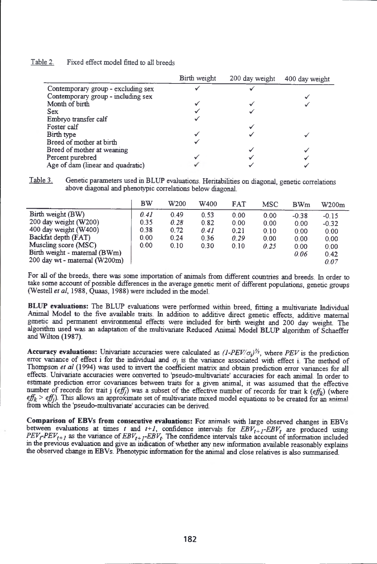| Fixed effect model fitted to all breeds | <u>Table 2.</u> |  |  |  |  |  |  |  |
|-----------------------------------------|-----------------|--|--|--|--|--|--|--|
|-----------------------------------------|-----------------|--|--|--|--|--|--|--|

|                                    | Birth weight | 200 day weight | 400 day weight |
|------------------------------------|--------------|----------------|----------------|
| Contemporary group - excluding sex |              |                |                |
| Contemporary group - including sex |              |                |                |
| Month of birth                     |              |                |                |
| <b>Sex</b>                         |              |                |                |
| Embryo transfer calf               |              |                |                |
| Foster calf                        |              |                |                |
| Birth type                         |              |                |                |
| Breed of mother at birth           |              |                |                |
| Breed of mother at weaning         |              |                |                |
| Percent purebred                   |              |                |                |
| Age of dam (linear and quadratic)  |              |                |                |

**Table 3. Genetic parameters used in BLUP evaluations. Heritabilities on diagonal, genetic correlations above diagonal and phenotypic correlations below diagonal**

|                               | BW   | W200 | W400 | <b>FAT</b> | <b>MSC</b> | <b>BWm</b> | W200m   |
|-------------------------------|------|------|------|------------|------------|------------|---------|
| Birth weight (BW)             | 0.41 | 0.49 | 0.53 | 0.00       | 0.00       | $-0.38$    | $-0.15$ |
| 200 day weight (W200)         | 0.35 | 0.28 | 0.82 | 0.00       | 0.00       | 0.00       | $-0.32$ |
| 400 day weight $(W400)$       | 0.38 | 0.72 | 0.41 | 0.21       | 0.10       | 0.00       | 0.00    |
| Backfat depth (FAT)           | 0.00 | 0.24 | 0.36 | 0.29       | 0.00       | 0.00       | 0.00    |
| Muscling score (MSC)          | 0.00 | 0.10 | 0.30 | 0.10       | 0.25       | 0.00       | 0.00    |
| Birth weight - maternal (BWm) |      |      |      |            |            | 0.06       | 0.42    |
| 200 day wt - maternal (W200m) |      |      |      |            |            |            | 0.07    |

**For all of the breeds, there was some importation of animals from different countries and breeds. In order to take some account of possible differences in the average genetic merit of different populations, genetic groups** (Westell *et al*, 1988, Quaas, 1988) were included in the model.

**BLUP evaluations: The BLUP evaluations were performed within breed, fitting a multivariate Individual Animal Model to the five available traits. In addition to additive direct genetic effects, additive maternal genetic and permanent environmental effects were included for birth weight and 200 day weight. The algorithm used was an adaptation of the multivanate Reduced Animal Model BLUP algorithm of Schaeffer and Wilton (1987).**

**Accuracy evaluations:** Univariate accuracies were calculated as  $(I-PEV/\sigma_i)^{1/2}$ , where *PEV* is the prediction error variance of effect i for the individual and  $\sigma_i$  is the variance associated with effect i. The method of Thompson *et al* (1994) was used to invert the coefficient matrix and obtain prediction error variances for all **effects. Univariate accuracies were converted to 'pseudo-multivariate' accuracies for each animal. In order to estimate prediction error covariances between traits for a given animal, it was assumed that the effective number of records for trait j** *(effj)* **was a subset of the effective number of records for trait k** *(effk)* **(where** *effk* **>** *effj)* **This allows an approximate set of multivanate mixed model equations to be created for an** animal **from which the 'pseudo-multivariate' accuracies can be derived.**

**Comparison of EBVs from consecutive evaluations: For animals with large observed changes in EBVs** between evaluations at times *t* and  $t+1$ , confidence intervals for  $EBV_{t+1} - EBV_t$  are produced using  $PEV_fPEV_{t+1}$  as the variance of  $EBV_{t+1}EBF_t$ . The confidence intervals take account of information included **in the previous evaluation and give an indication of whether any new information available reasonably explains** the observed change in EBVs. Phenotypic information for the animal and close relatives is also summarised.